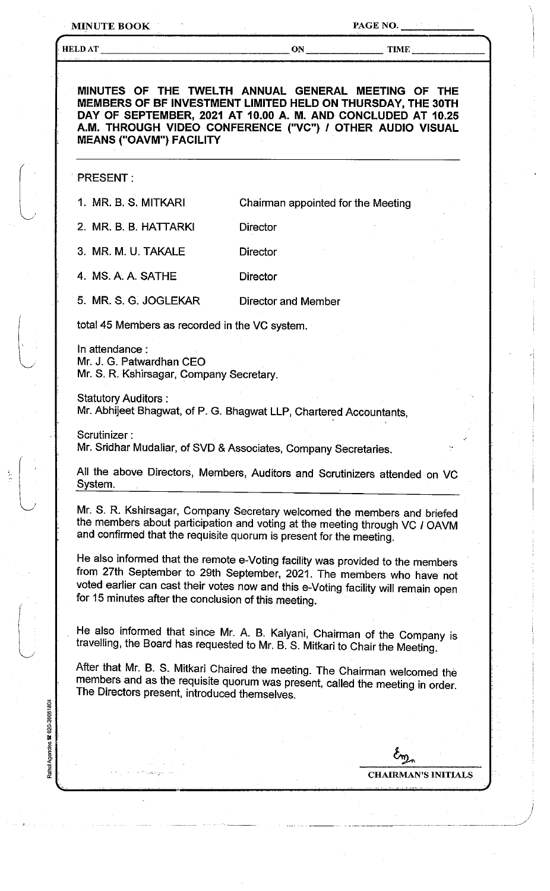MINUTE BOOK PAGE NO.

i.<br>T

j *!* 

| MEMBERS OF BF INVESTMENT LIMITED HELD ON THURSDAY, THE 30TH<br>DAY OF SEPTEMBER, 2021 AT 10.00 A. M. AND CONCLUDED AT 10.25<br>A.M. THROUGH VIDEO CONFERENCE ("VC") / OTHER AUDIO VISUAL<br><b>MEANS ("OAVM") FACILITY</b>                                                                            | MINUTES OF THE TWELTH ANNUAL GENERAL MEETING OF THE |                            |
|-------------------------------------------------------------------------------------------------------------------------------------------------------------------------------------------------------------------------------------------------------------------------------------------------------|-----------------------------------------------------|----------------------------|
| <b>PRESENT:</b>                                                                                                                                                                                                                                                                                       |                                                     |                            |
| 1. MR. B. S. MITKARI                                                                                                                                                                                                                                                                                  | Chairman appointed for the Meeting                  |                            |
| 2. MR. B. B. HATTARKI                                                                                                                                                                                                                                                                                 | <b>Director</b>                                     |                            |
| 3. MR. M. U. TAKALE                                                                                                                                                                                                                                                                                   | <b>Director</b>                                     |                            |
| 4. MS. A. A. SATHE                                                                                                                                                                                                                                                                                    | <b>Director</b>                                     |                            |
| 5. MR. S. G. JOGLEKAR                                                                                                                                                                                                                                                                                 | <b>Director and Member</b>                          |                            |
| total 45 Members as recorded in the VC system.                                                                                                                                                                                                                                                        |                                                     |                            |
| In attendance:<br>Mr. J. G. Patwardhan CEO<br>Mr. S. R. Kshirsagar, Company Secretary.                                                                                                                                                                                                                |                                                     |                            |
| <b>Statutory Auditors:</b><br>Mr. Abhijeet Bhagwat, of P. G. Bhagwat LLP, Chartered Accountants,                                                                                                                                                                                                      |                                                     |                            |
| Scrutinizer:<br>Mr. Sridhar Mudaliar, of SVD & Associates, Company Secretaries.                                                                                                                                                                                                                       |                                                     |                            |
| All the above Directors, Members, Auditors and Scrutinizers attended on VC<br>System.                                                                                                                                                                                                                 |                                                     |                            |
| Mr. S. R. Kshirsagar, Company Secretary welcomed the members and briefed<br>the members about participation and voting at the meeting through VC / OAVM<br>and confirmed that the requisite quorum is present for the meeting.                                                                        |                                                     |                            |
| He also informed that the remote e-Voting facility was provided to the members<br>from 27th September to 29th September, 2021. The members who have not<br>voted earlier can cast their votes now and this e-Voting facility will remain open<br>for 15 minutes after the conclusion of this meeting. |                                                     |                            |
| He also informed that since Mr. A. B. Kalyani, Chairman of the Company is<br>travelling, the Board has requested to Mr. B. S. Mitkari to Chair the Meeting.                                                                                                                                           |                                                     |                            |
| After that Mr. B. S. Mitkari Chaired the meeting. The Chairman welcomed the<br>members and as the requisite quorum was present, called the meeting in order.<br>The Directors present, introduced themselves.                                                                                         |                                                     |                            |
|                                                                                                                                                                                                                                                                                                       |                                                     |                            |
|                                                                                                                                                                                                                                                                                                       |                                                     |                            |
|                                                                                                                                                                                                                                                                                                       |                                                     | <b>CHAIRMAN'S INITIALS</b> |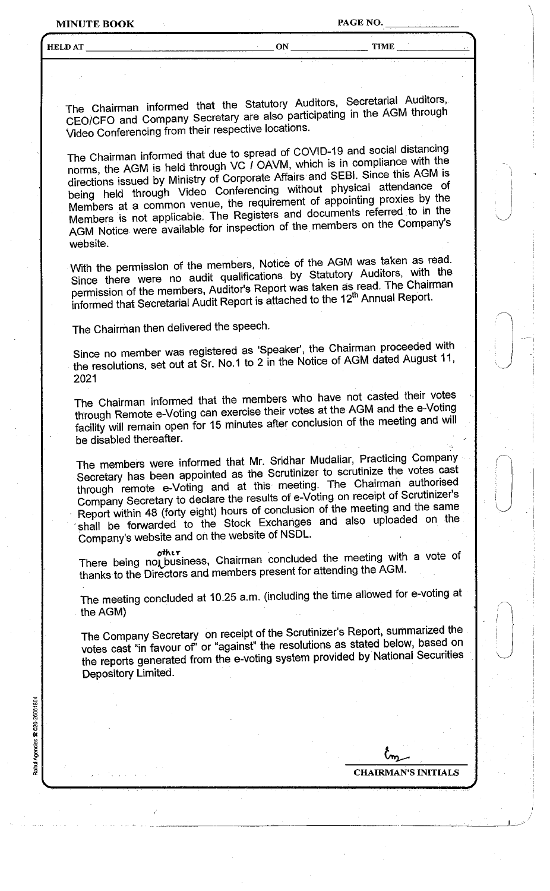MINUTE **BOOK** PAGE NO.

i  $\vert$ *J* 

 $\overline{\phantom{a}}$ 

 $\begin{pmatrix} 1 \\ 1 \end{pmatrix}$ 

HELDAT \_\_\_ ~ \_\_\_\_\_\_\_\_\_\_ ON \_\_\_\_\_\_ TIME \_\_\_\_\_ '-'-

The Chairman informed that the Statutory Auditors, Secretarial Auditors, CEO/CFO and Company Secretary are also participating in the AGM through Video Conferencing from their respective locations.

The Chairman informed that due to spread of COVID-19 and social distancing norms, the AGM is held through VC / OAVM, which is in compliance with the directions issued by Ministry of Corporate Affairs and SEBI. Since this AGM is being held through Video Conferencing without physical attendance of Members at a common venue, the requirement of appointing proxies by the Members is not applicable. The Registers and documents referred to in the AGM Notice were available for inspection of the members on the Company's website.

With the permission of the members, Notice of the AGM was taken as read. Since there were no audit qualifications by Statutory Auditors, with the permission of the members, Auditor's Report was taken as read. The Chairman informed that Secretarial Audit Report is attached to the 12<sup>th</sup> Annual Report.

The Chairman then delivered the speech.

Since no member was registered as 'Speaker', the Chairman proceeded with the resolutions, set out at Sr. No.1 to 2 in the Notice of AGM dated August 11, 2021

The Chairman informed that the members who have not casted their votes through Remote e-Voting can exercise their votes at the AGM and the e-Voting facility will remain open for 15 minutes after conclusion of the meeting and will be disabled thereafter.

The members were informed that Mr. Sridhar Mudaliar, Practicing Company Secretary has been appointed as the Scrutinizer to scrutinize the votes cast through remote e-Voting and at this meeting. The Chairman authorised Company Secretary to declare the results of e-Voting on receipt of Scrutinizer's Report within 48 (forty eight) hours of conclusion of the meeting and the same shall be forwarded to the Stock Exchanges and also uploaded on the Company's website and on the website of NSDL.

other<br>There being nol\_business, Chairman concluded the meeting with a vote of thanks to the Directors and members present for attending the AGM.

The meeting concluded at 10.25 a.m. (including the time allowed for e-voting at the AGM)

The Company Secretary on receipt of the Scrutinizer's Report, summarized the votes cast "in favour of' or "against" the resolutions as stated below, based on the reports generated from the e-voting system provided by National Securities Depository Limited.

Rahul Agencies & 020-26061804

**CHAIRMAN'S INITIALS**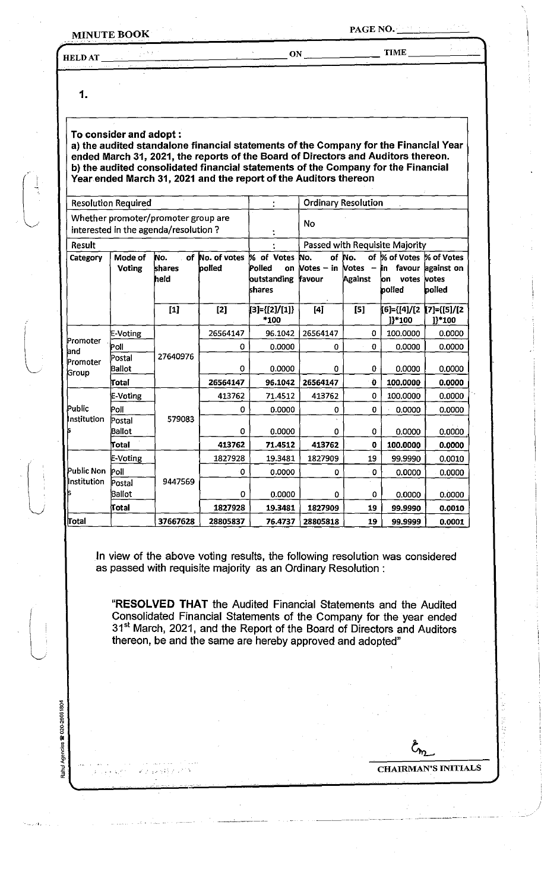## **MINUTE BOOK**

**TIME** 

**HELDAT** 

ON

1.

Agencies <sup>220-26061804</sup>

luntari<br>Sahul

## To consider and adopt:

a) the audited standalone financial statements of the Company for the Financial Year ended March 31, 2021, the reports of the Board of Directors and Auditors thereon. b) the audited consolidated financial statements of the Company for the Financial Year ended March 31, 2021 and the report of the Auditors thereon

| <b>Resolution Required</b>                                                  |                   |                             | t                      | <b>Ordinary Resolution</b>                          |                               |                                                                      |                                                                     |                                |
|-----------------------------------------------------------------------------|-------------------|-----------------------------|------------------------|-----------------------------------------------------|-------------------------------|----------------------------------------------------------------------|---------------------------------------------------------------------|--------------------------------|
| Whether promoter/promoter group are<br>interested in the agenda/resolution? |                   |                             |                        | <b>No</b>                                           |                               |                                                                      |                                                                     |                                |
| <b>Result</b>                                                               |                   |                             |                        | Passed with Requisite Majority                      |                               |                                                                      |                                                                     |                                |
| Category                                                                    | Mode of<br>Voting | of<br>No.<br>shares<br>held | No. of votes<br>polled | % of Votes<br>Polled<br>on<br>outstanding<br>shares | No.<br>Votes $-$ in<br>favour | of No.<br><b>Notes</b><br>$\overline{\phantom{a}}$<br><b>Against</b> | of % of Votes % of Votes<br>favour<br>in.<br>votes<br>ion<br>polled | against on<br>votes<br>polled  |
|                                                                             |                   | $[1]$                       | $[2]$                  | [3]={[2]/[1]}<br>*100                               | [4]                           | [5]                                                                  | [6]={[4]/[2<br>]}*100                                               | $[7] = \{ [5] / [2]$<br>1}*100 |
| Promoter<br>and<br>Promoter<br>Group                                        | E-Voting          | 27640976                    | 26564147               | 96.1042                                             | 26564147                      | 0                                                                    | 100.0000                                                            | 0.0000                         |
|                                                                             | Poll              |                             | 0                      | 0.0000                                              | 0                             | 0                                                                    | 0.0000                                                              | 0.0000                         |
|                                                                             | Postal<br>Ballot  |                             | 0                      | 0.0000                                              | 0                             | 0                                                                    | 0.0000                                                              | 0.0000                         |
|                                                                             | Total             |                             | 26564147               | 96.1042                                             | 26564147                      | Ò                                                                    | 100.0000                                                            | 0.0000                         |
| Public<br>Institution                                                       | E-Voting          | 579083                      | 413762                 | 71.4512                                             | 413762                        | 0                                                                    | 100.0000                                                            | 0.0000                         |
|                                                                             | Poll              |                             | 0                      | 0.0000                                              | 0                             | 0                                                                    | 0.0000                                                              | 0.0000                         |
|                                                                             | Postal<br>Ballot  |                             | 0                      | 0.0000                                              | 0                             | 0                                                                    | 0.0000                                                              | 0.0000                         |
|                                                                             | Total             |                             | 413762                 | 71.4512                                             | 413762                        | 0                                                                    | 100.0000                                                            | 0.0000                         |
| Public Non<br>Institution                                                   | E-Voting          | 9447569                     | 1827928                | 19.3481                                             | 1827909                       | 19                                                                   | 99.9990                                                             | 0.0010                         |
|                                                                             | Poll              |                             | 0                      | 0.0000                                              | 0                             | $^{\circ}$ 0                                                         | 0.0000                                                              | 0.0000                         |
|                                                                             | Postal<br>Ballot  |                             | 0                      | 0.0000                                              | 0                             | 0                                                                    | 0.0000                                                              | 0.0000                         |
|                                                                             | Total             |                             | 1827928                | 19.3481                                             | 1827909                       | 19                                                                   | 99.9990                                                             | 0.0010                         |
| $ $ Total                                                                   |                   | 37667628                    | 28805837               | 76.4737                                             | 28805818                      | 19                                                                   | 99.9999                                                             | 0.0001                         |

In view of the above voting results, the following resolution was considered as passed with requisite majority as an Ordinary Resolution:

"RESOLVED THAT the Audited Financial Statements and the Audited Consolidated Financial Statements of the Company for the year ended 31<sup>st</sup> March, 2021, and the Report of the Board of Directors and Auditors thereon, be and the same are hereby approved and adopted"

**CHAIRMAN'S INITIALS**